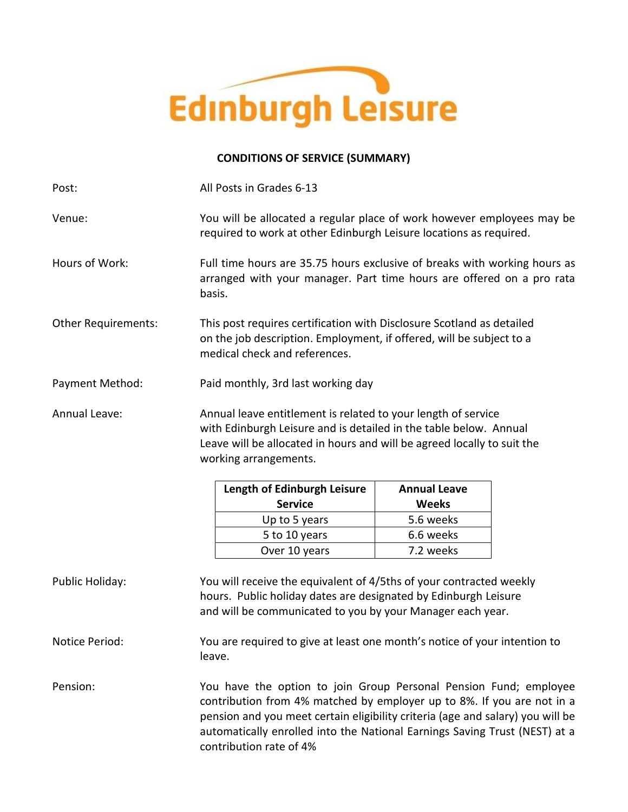

# **CONDITIONS OF SERVICE (SUMMARY)**

| Post:                      | All Posts in Grades 6-13                                                                                                                                                                                                                                                                                    |              |  |
|----------------------------|-------------------------------------------------------------------------------------------------------------------------------------------------------------------------------------------------------------------------------------------------------------------------------------------------------------|--------------|--|
| Venue:                     | You will be allocated a regular place of work however employees may be<br>required to work at other Edinburgh Leisure locations as required.                                                                                                                                                                |              |  |
| Hours of Work:             | Full time hours are 35.75 hours exclusive of breaks with working hours as<br>arranged with your manager. Part time hours are offered on a pro rata<br>basis.                                                                                                                                                |              |  |
| <b>Other Requirements:</b> | This post requires certification with Disclosure Scotland as detailed<br>on the job description. Employment, if offered, will be subject to a<br>medical check and references.                                                                                                                              |              |  |
| Payment Method:            | Paid monthly, 3rd last working day                                                                                                                                                                                                                                                                          |              |  |
| Annual Leave:              | Annual leave entitlement is related to your length of service<br>with Edinburgh Leisure and is detailed in the table below. Annual<br>Leave will be allocated in hours and will be agreed locally to suit the<br>working arrangements.                                                                      |              |  |
|                            | Length of Edinburgh Leisure<br><b>Annual Leave</b>                                                                                                                                                                                                                                                          |              |  |
|                            | <b>Service</b>                                                                                                                                                                                                                                                                                              | <b>Weeks</b> |  |
|                            | Up to 5 years                                                                                                                                                                                                                                                                                               | 5.6 weeks    |  |
|                            | 5 to 10 years                                                                                                                                                                                                                                                                                               | 6.6 weeks    |  |
|                            | Over 10 years                                                                                                                                                                                                                                                                                               | 7.2 weeks    |  |
| Public Holiday:            | You will receive the equivalent of 4/5ths of your contracted weekly<br>hours. Public holiday dates are designated by Edinburgh Leisure<br>and will be communicated to you by your Manager each year.                                                                                                        |              |  |
| Notice Period:             | You are required to give at least one month's notice of your intention to<br>leave.                                                                                                                                                                                                                         |              |  |
| Pension:                   | You have the option to join Group Personal Pension Fund; employee<br>contribution from 4% matched by employer up to 8%. If you are not in a<br>pension and you meet certain eligibility criteria (age and salary) you will be<br>automatically enrolled into the National Earnings Saving Trust (NEST) at a |              |  |

contribution rate of 4%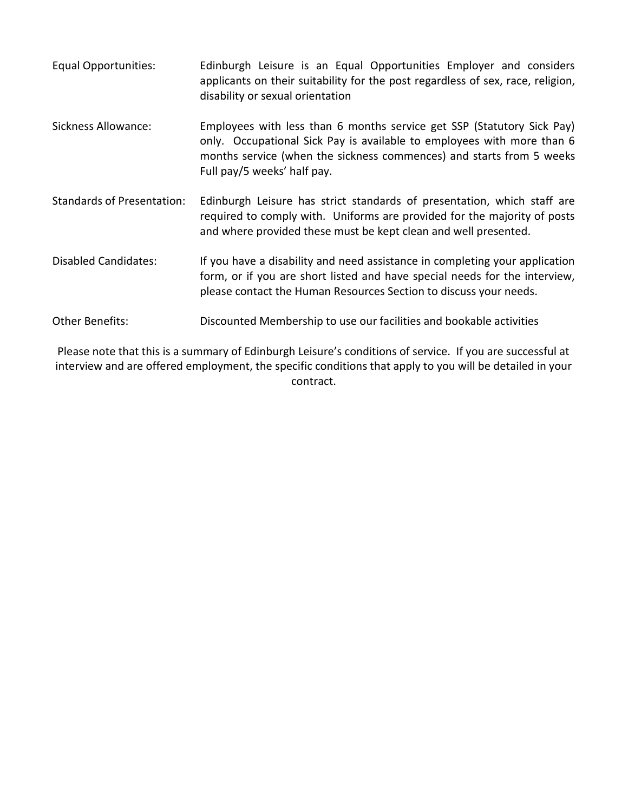Equal Opportunities: Edinburgh Leisure is an Equal Opportunities Employer and considers applicants on their suitability for the post regardless of sex, race, religion, disability or sexual orientation Sickness Allowance: Employees with less than 6 months service get SSP (Statutory Sick Pay) only. Occupational Sick Pay is available to employees with more than 6 months service (when the sickness commences) and starts from 5 weeks Full pay/5 weeks' half pay. Standards of Presentation: Edinburgh Leisure has strict standards of presentation, which staff are required to comply with. Uniforms are provided for the majority of posts and where provided these must be kept clean and well presented. Disabled Candidates: If you have a disability and need assistance in completing your application form, or if you are short listed and have special needs for the interview, please contact the Human Resources Section to discuss your needs. Other Benefits: Discounted Membership to use our facilities and bookable activities

Please note that this is a summary of Edinburgh Leisure's conditions of service. If you are successful at interview and are offered employment, the specific conditions that apply to you will be detailed in your contract.